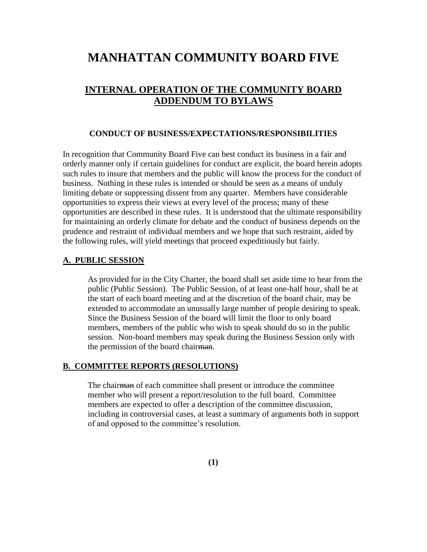# **MANHATTAN COMMUNITY BOARD FIVE**

# **INTERNAL OPERATION OF THE COMMUNITY BOARD ADDENDUM TO BYLAWS**

#### **CONDUCT OF BUSINESS/EXPECTATIONS/RESPONSIBILITIES**

In recognition that Community Board Five can best conduct its business in a fair and orderly manner only if certain guidelines for conduct are explicit, the board herein adopts such rules to insure that members and the public will know the process for the conduct of business. Nothing in these rules is intended or should be seen as a means of unduly limiting debate or suppressing dissent from any quarter. Members have considerable opportunities to express their views at every level of the process; many of these opportunities are described in these rules. It is understood that the ultimate responsibility for maintaining an orderly climate for debate and the conduct of business depends on the prudence and restraint of individual members and we hope that such restraint, aided by the following rules, will yield meetings that proceed expeditiously but fairly.

# **A. PUBLIC SESSION**

As provided for in the City Charter, the board shall set aside time to hear from the public (Public Session). The Public Session, of at least one-half hour, shall be at the start of each board meeting and at the discretion of the board chair, may be extended to accommodate an unusually large number of people desiring to speak. Since the Business Session of the board will limit the floor to only board members, members of the public who wish to speak should do so in the public session. Non-board members may speak during the Business Session only with the permission of the board chairman.

# **B. COMMITTEE REPORTS (RESOLUTIONS)**

The chairman of each committee shall present or introduce the committee member who will present a report/resolution to the full board. Committee members are expected to offer a description of the committee discussion, including in controversial cases, at least a summary of arguments both in support of and opposed to the committee's resolution.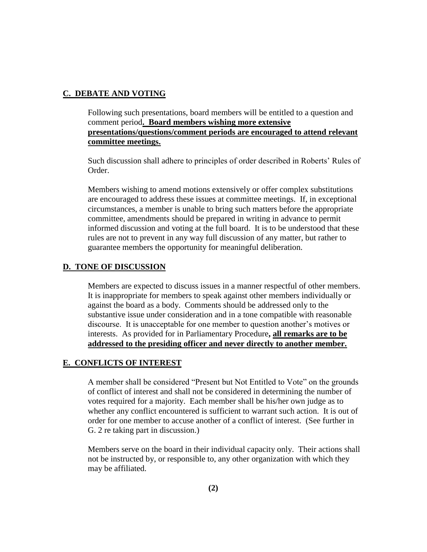# **C. DEBATE AND VOTING**

Following such presentations, board members will be entitled to a question and comment period**. Board members wishing more extensive presentations/questions/comment periods are encouraged to attend relevant committee meetings.**

Such discussion shall adhere to principles of order described in Roberts' Rules of Order.

Members wishing to amend motions extensively or offer complex substitutions are encouraged to address these issues at committee meetings. If, in exceptional circumstances, a member is unable to bring such matters before the appropriate committee, amendments should be prepared in writing in advance to permit informed discussion and voting at the full board. It is to be understood that these rules are not to prevent in any way full discussion of any matter, but rather to guarantee members the opportunity for meaningful deliberation.

# **D. TONE OF DISCUSSION**

Members are expected to discuss issues in a manner respectful of other members. It is inappropriate for members to speak against other members individually or against the board as a body. Comments should be addressed only to the substantive issue under consideration and in a tone compatible with reasonable discourse. It is unacceptable for one member to question another's motives or interests. As provided for in Parliamentary Procedure**, all remarks are to be addressed to the presiding officer and never directly to another member.**

# **E. CONFLICTS OF INTEREST**

A member shall be considered "Present but Not Entitled to Vote" on the grounds of conflict of interest and shall not be considered in determining the number of votes required for a majority. Each member shall be his/her own judge as to whether any conflict encountered is sufficient to warrant such action. It is out of order for one member to accuse another of a conflict of interest. (See further in G. 2 re taking part in discussion.)

Members serve on the board in their individual capacity only. Their actions shall not be instructed by, or responsible to, any other organization with which they may be affiliated.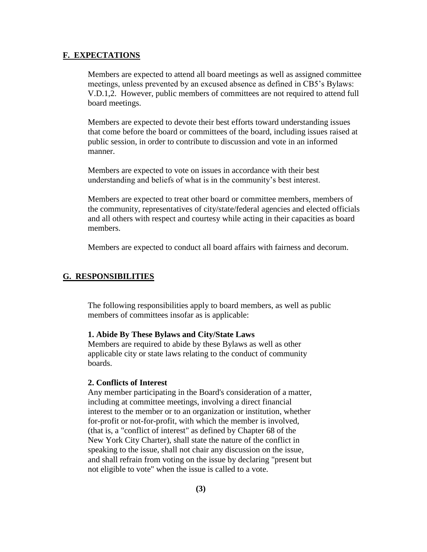#### **F. EXPECTATIONS**

Members are expected to attend all board meetings as well as assigned committee meetings, unless prevented by an excused absence as defined in CB5's Bylaws: V.D.1,2. However, public members of committees are not required to attend full board meetings.

Members are expected to devote their best efforts toward understanding issues that come before the board or committees of the board, including issues raised at public session, in order to contribute to discussion and vote in an informed manner.

Members are expected to vote on issues in accordance with their best understanding and beliefs of what is in the community's best interest.

Members are expected to treat other board or committee members, members of the community, representatives of city/state/federal agencies and elected officials and all others with respect and courtesy while acting in their capacities as board members.

Members are expected to conduct all board affairs with fairness and decorum.

# **G. RESPONSIBILITIES**

The following responsibilities apply to board members, as well as public members of committees insofar as is applicable:

#### **1. Abide By These Bylaws and City/State Laws**

Members are required to abide by these Bylaws as well as other applicable city or state laws relating to the conduct of community boards.

# **2. Conflicts of Interest**

Any member participating in the Board's consideration of a matter, including at committee meetings, involving a direct financial interest to the member or to an organization or institution, whether for-profit or not-for-profit, with which the member is involved, (that is, a "conflict of interest" as defined by Chapter 68 of the New York City Charter), shall state the nature of the conflict in speaking to the issue, shall not chair any discussion on the issue, and shall refrain from voting on the issue by declaring "present but not eligible to vote" when the issue is called to a vote.